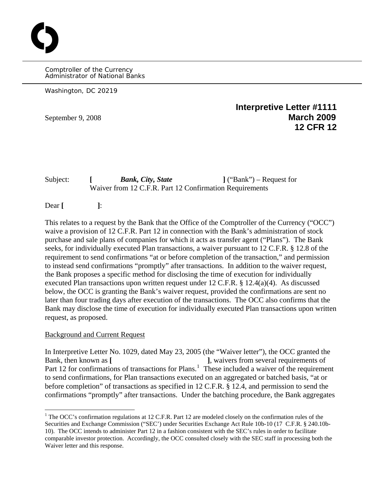Comptroller of the Currency Administrator of National Banks

Washington, DC 20219

O

**Interpretive Letter #1111**  September 9, 2008 **March 2009 12 CFR 12**

Subject: **[** *Bank, City, State* **]** ("Bank") – Request for Waiver from 12 C.F.R. Part 12 Confirmation Requirements

Dear **[ ]**:

This relates to a request by the Bank that the Office of the Comptroller of the Currency ("OCC") waive a provision of 12 C.F.R. Part 12 in connection with the Bank's administration of stock purchase and sale plans of companies for which it acts as transfer agent ("Plans"). The Bank seeks, for individually executed Plan transactions, a waiver pursuant to 12 C.F.R. § 12.8 of the requirement to send confirmations "at or before completion of the transaction," and permission to instead send confirmations "promptly" after transactions. In addition to the waiver request, the Bank proposes a specific method for disclosing the time of execution for individually executed Plan transactions upon written request under 12 C.F.R. § 12.4(a)(4). As discussed below, the OCC is granting the Bank's waiver request, provided the confirmations are sent no later than four trading days after execution of the transactions. The OCC also confirms that the Bank may disclose the time of execution for individually executed Plan transactions upon written request, as proposed.

## Background and Current Request

 $\overline{a}$ 

In Interpretive Letter No. 1029, dated May 23, 2005 (the "Waiver letter"), the OCC granted the Bank, then known as [ **]**, waivers from several requirements of Part [1](#page-0-0)2 for confirmations of transactions for Plans.<sup>1</sup> These included a waiver of the requirement to send confirmations, for Plan transactions executed on an aggregated or batched basis, "at or before completion" of transactions as specified in 12 C.F.R. § 12.4, and permission to send the confirmations "promptly" after transactions. Under the batching procedure, the Bank aggregates

<span id="page-0-0"></span> $1$ <sup>1</sup> The OCC's confirmation regulations at 12 C.F.R. Part 12 are modeled closely on the confirmation rules of the Securities and Exchange Commission ("SEC') under Securities Exchange Act Rule 10b-10 (17 C.F.R. § 240.10b-10). The OCC intends to administer Part 12 in a fashion consistent with the SEC's rules in order to facilitate comparable investor protection. Accordingly, the OCC consulted closely with the SEC staff in processing both the Waiver letter and this response.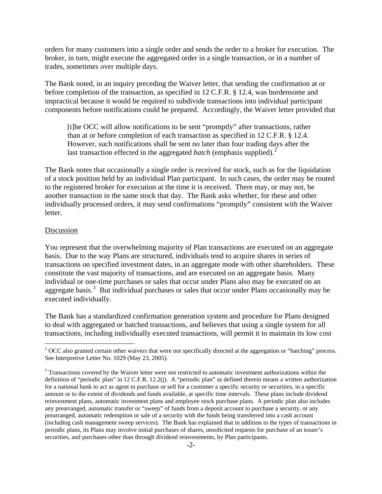orders for many customers into a single order and sends the order to a broker for execution. The broker, in turn, might execute the aggregated order in a single transaction, or in a number of trades, sometimes over multiple days.

The Bank noted, in an inquiry preceding the Waiver letter, that sending the confirmation at or before completion of the transaction, as specified in 12 C.F.R. § 12.4, was burdensome and impractical because it would be required to subdivide transactions into individual participant components before notifications could be prepared. Accordingly, the Waiver letter provided that

[t]he OCC will allow notifications to be sent "promptly" after transactions, rather than at or before completion of each transaction as specified in 12 C.F.R. § 12.4. However, such notifications shall be sent no later than four trading days after the last transaction effected in the aggregated *batch* (emphasis supplied).<sup>[2](#page-1-0)</sup>

The Bank notes that occasionally a single order is received for stock, such as for the liquidation of a stock position held by an individual Plan participant. In such cases, the order may be routed to the registered broker for execution at the time it is received. There may, or may not, be another transaction in the same stock that day. The Bank asks whether, for these and other individually processed orders, it may send confirmations "promptly" consistent with the Waiver letter.

#### Discussion

 $\overline{a}$ 

You represent that the overwhelming majority of Plan transactions are executed on an aggregate basis. Due to the way Plans are structured, individuals tend to acquire shares in series of transactions on specified investment dates, in an aggregate mode with other shareholders. These constitute the vast majority of transactions, and are executed on an aggregate basis. Many individual or one-time purchases or sales that occur under Plans also may be executed on an aggregate basis.<sup>[3](#page-1-1)</sup> But individual purchases or sales that occur under Plans occasionally may be executed individually.

The Bank has a standardized confirmation generation system and procedure for Plans designed to deal with aggregated or batched transactions, and believes that using a single system for all transactions, including individually executed transactions, will permit it to maintain its low cost

<span id="page-1-0"></span> $2^{2}$  OCC also granted certain other waivers that were not specifically directed at the aggregation or "batching" process. See Interpretive Letter No. 1029 (May 23, 2005).

<span id="page-1-1"></span> $3$  Transactions covered by the Waiver letter were not restricted to automatic investment authorizations within the definition of "periodic plan" in 12 C.F.R. 12.2(j). A "periodic plan" as defined therein means a written authorization for a national bank to act as agent to purchase or sell for a customer a specific security or securities, in a specific amount or to the extent of dividends and funds available, at specific time intervals. These plans include dividend reinvestment plans, automatic investment plans and employee stock purchase plans. A periodic plan also includes any prearranged, automatic transfer or "sweep" of funds from a deposit account to purchase a security, or any prearranged, automatic redemption or sale of a security with the funds being transferred into a cash account (including cash management sweep services). The Bank has explained that in addition to the types of transactions in periodic plans, its Plans may involve initial purchases of shares, unsolicited requests for purchase of an issuer's securities, and purchases other than through dividend reinvestments, by Plan participants.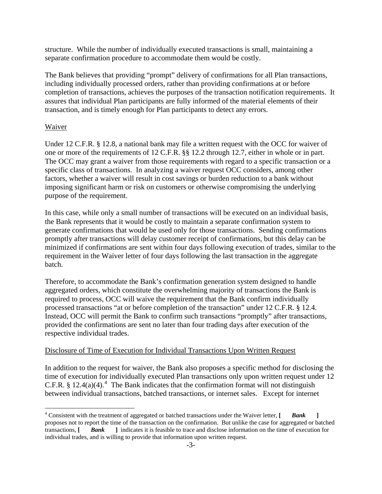structure. While the number of individually executed transactions is small, maintaining a separate confirmation procedure to accommodate them would be costly.

The Bank believes that providing "prompt" delivery of confirmations for all Plan transactions, including individually processed orders, rather than providing confirmations at or before completion of transactions, achieves the purposes of the transaction notification requirements. It assures that individual Plan participants are fully informed of the material elements of their transaction, and is timely enough for Plan participants to detect any errors.

# Waiver

 $\overline{a}$ 

Under 12 C.F.R. § 12.8, a national bank may file a written request with the OCC for waiver of one or more of the requirements of 12 C.F.R. §§ 12.2 through 12.7, either in whole or in part. The OCC may grant a waiver from those requirements with regard to a specific transaction or a specific class of transactions. In analyzing a waiver request OCC considers, among other factors, whether a waiver will result in cost savings or burden reduction to a bank without imposing significant harm or risk on customers or otherwise compromising the underlying purpose of the requirement.

In this case, while only a small number of transactions will be executed on an individual basis, the Bank represents that it would be costly to maintain a separate confirmation system to generate confirmations that would be used only for those transactions. Sending confirmations promptly after transactions will delay customer receipt of confirmations, but this delay can be minimized if confirmations are sent within four days following execution of trades, similar to the requirement in the Waiver letter of four days following the last transaction in the aggregate batch.

Therefore, to accommodate the Bank's confirmation generation system designed to handle aggregated orders, which constitute the overwhelming majority of transactions the Bank is required to process, OCC will waive the requirement that the Bank confirm individually processed transactions "at or before completion of the transaction" under 12 C.F.R. § 12.4. Instead, OCC will permit the Bank to confirm such transactions "promptly" after transactions, provided the confirmations are sent no later than four trading days after execution of the respective individual trades.

## Disclosure of Time of Execution for Individual Transactions Upon Written Request

In addition to the request for waiver, the Bank also proposes a specific method for disclosing the time of execution for individually executed Plan transactions only upon written request under 12 C.F.R. § 12.[4](#page-2-0)(a)(4).<sup>4</sup> The Bank indicates that the confirmation format will not distinguish between individual transactions, batched transactions, or internet sales. Except for internet

<span id="page-2-0"></span><sup>&</sup>lt;sup>4</sup> Consistent with the treatment of aggregated or batched transactions under the Waiver letter, [*Bank* ] proposes not to report the time of the transaction on the confirmation. But unlike the case for aggregated or batched transactions, **[** *Bank* **]** indicates it is feasible to trace and disclose information on the time of execution for individual trades, and is willing to provide that information upon written request.